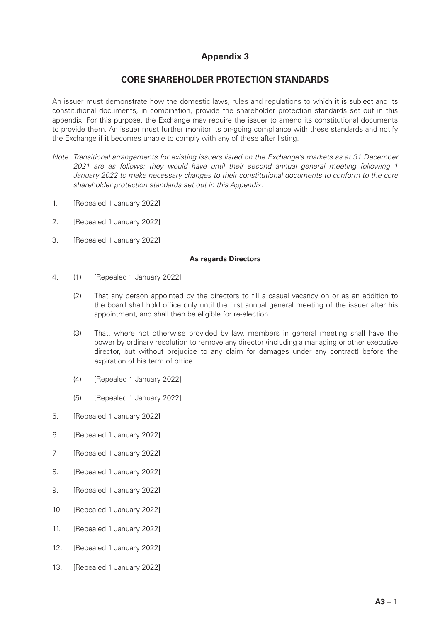# **Appendix 3**

## **CORE SHAREHOLDER PROTECTION STANDARDS**

An issuer must demonstrate how the domestic laws, rules and regulations to which it is subject and its constitutional documents, in combination, provide the shareholder protection standards set out in this appendix. For this purpose, the Exchange may require the issuer to amend its constitutional documents to provide them. An issuer must further monitor its on-going compliance with these standards and notify the Exchange if it becomes unable to comply with any of these after listing.

- *Note: Transitional arrangements for existing issuers listed on the Exchange's markets as at 31 December 2021 are as follows: they would have until their second annual general meeting following 1 January 2022 to make necessary changes to their constitutional documents to conform to the core shareholder protection standards set out in this Appendix.*
- 1. [Repealed 1 January 2022]
- 2. [Repealed 1 January 2022]
- 3. [Repealed 1 January 2022]

#### **As regards Directors**

- 4. (1) [Repealed 1 January 2022]
	- (2) That any person appointed by the directors to fill a casual vacancy on or as an addition to the board shall hold office only until the first annual general meeting of the issuer after his appointment, and shall then be eligible for re-election.
	- (3) That, where not otherwise provided by law, members in general meeting shall have the power by ordinary resolution to remove any director (including a managing or other executive director, but without prejudice to any claim for damages under any contract) before the expiration of his term of office.
	- (4) [Repealed 1 January 2022]
	- (5) [Repealed 1 January 2022]
- 5. [Repealed 1 January 2022]
- 6. [Repealed 1 January 2022]
- 7. [Repealed 1 January 2022]
- 8. [Repealed 1 January 2022]
- 9. [Repealed 1 January 2022]
- 10. [Repealed 1 January 2022]
- 11. [Repealed 1 January 2022]
- 12. [Repealed 1 January 2022]
- 13. **IRepealed 1 January 2022**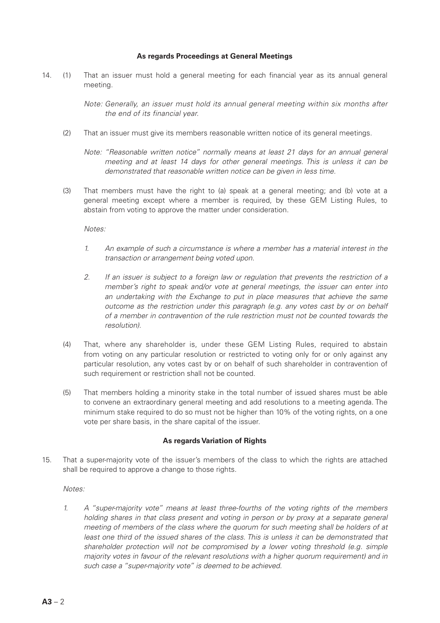#### **As regards Proceedings at General Meetings**

14. (1) That an issuer must hold a general meeting for each financial year as its annual general meeting.

> *Note: Generally, an issuer must hold its annual general meeting within six months after the end of its financial year.*

- (2) That an issuer must give its members reasonable written notice of its general meetings.
	- *Note: "Reasonable written notice" normally means at least 21 days for an annual general meeting and at least 14 days for other general meetings. This is unless it can be demonstrated that reasonable written notice can be given in less time.*
- (3) That members must have the right to (a) speak at a general meeting; and (b) vote at a general meeting except where a member is required, by these GEM Listing Rules, to abstain from voting to approve the matter under consideration.

*Notes:*

- *1. An example of such a circumstance is where a member has a material interest in the transaction or arrangement being voted upon.*
- *2. If an issuer is subject to a foreign law or regulation that prevents the restriction of a member's right to speak and/or vote at general meetings, the issuer can enter into an undertaking with the Exchange to put in place measures that achieve the same outcome as the restriction under this paragraph (e.g. any votes cast by or on behalf of a member in contravention of the rule restriction must not be counted towards the resolution).*
- (4) That, where any shareholder is, under these GEM Listing Rules, required to abstain from voting on any particular resolution or restricted to voting only for or only against any particular resolution, any votes cast by or on behalf of such shareholder in contravention of such requirement or restriction shall not be counted.
- (5) That members holding a minority stake in the total number of issued shares must be able to convene an extraordinary general meeting and add resolutions to a meeting agenda. The minimum stake required to do so must not be higher than 10% of the voting rights, on a one vote per share basis, in the share capital of the issuer.

#### **As regards Variation of Rights**

15. That a super-majority vote of the issuer's members of the class to which the rights are attached shall be required to approve a change to those rights.

#### *Notes:*

*1. A "super-majority vote" means at least three-fourths of the voting rights of the members holding shares in that class present and voting in person or by proxy at a separate general meeting of members of the class where the quorum for such meeting shall be holders of at least one third of the issued shares of the class. This is unless it can be demonstrated that shareholder protection will not be compromised by a lower voting threshold (e.g. simple majority votes in favour of the relevant resolutions with a higher quorum requirement) and in such case a "super-majority vote" is deemed to be achieved.*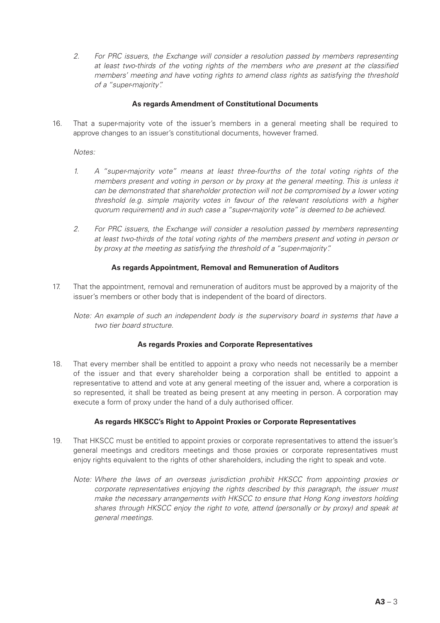*2. For PRC issuers, the Exchange will consider a resolution passed by members representing at least two-thirds of the voting rights of the members who are present at the classified members' meeting and have voting rights to amend class rights as satisfying the threshold of a "super-majority".*

#### **As regards Amendment of Constitutional Documents**

16. That a super-majority vote of the issuer's members in a general meeting shall be required to approve changes to an issuer's constitutional documents, however framed.

*Notes:*

- *1. A "super-majority vote" means at least three-fourths of the total voting rights of the members present and voting in person or by proxy at the general meeting. This is unless it can be demonstrated that shareholder protection will not be compromised by a lower voting threshold (e.g. simple majority votes in favour of the relevant resolutions with a higher quorum requirement) and in such case a "super-majority vote" is deemed to be achieved.*
- *2. For PRC issuers, the Exchange will consider a resolution passed by members representing at least two-thirds of the total voting rights of the members present and voting in person or by proxy at the meeting as satisfying the threshold of a "super-majority".*

### **As regards Appointment, Removal and Remuneration of Auditors**

17. That the appointment, removal and remuneration of auditors must be approved by a majority of the issuer's members or other body that is independent of the board of directors.

*Note: An example of such an independent body is the supervisory board in systems that have a two tier board structure.*

#### **As regards Proxies and Corporate Representatives**

18. That every member shall be entitled to appoint a proxy who needs not necessarily be a member of the issuer and that every shareholder being a corporation shall be entitled to appoint a representative to attend and vote at any general meeting of the issuer and, where a corporation is so represented, it shall be treated as being present at any meeting in person. A corporation may execute a form of proxy under the hand of a duly authorised officer.

### **As regards HKSCC's Right to Appoint Proxies or Corporate Representatives**

- 19. That HKSCC must be entitled to appoint proxies or corporate representatives to attend the issuer's general meetings and creditors meetings and those proxies or corporate representatives must enjoy rights equivalent to the rights of other shareholders, including the right to speak and vote.
	- *Note: Where the laws of an overseas jurisdiction prohibit HKSCC from appointing proxies or corporate representatives enjoying the rights described by this paragraph, the issuer must make the necessary arrangements with HKSCC to ensure that Hong Kong investors holding shares through HKSCC enjoy the right to vote, attend (personally or by proxy) and speak at general meetings.*